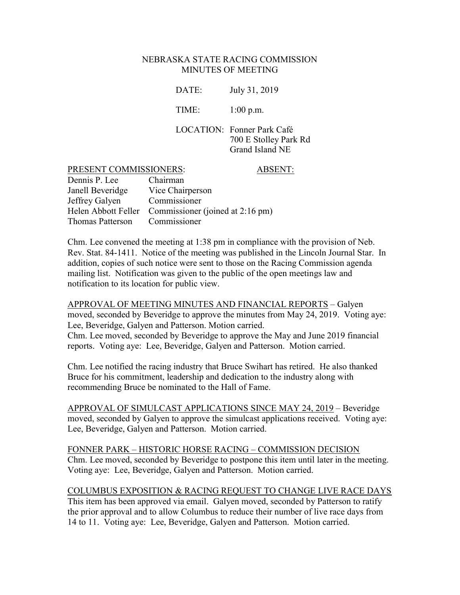#### NEBRASKA STATE RACING COMMISSION MINUTES OF MEETING

DATE: July 31, 2019

TIME: 1:00 p.m.

LOCATION: Fonner Park Café 700 E Stolley Park Rd Grand Island NE

#### PRESENT COMMISSIONERS: ABSENT:

| Dennis P. Lee    | Chairman                                             |
|------------------|------------------------------------------------------|
| Janell Beveridge | Vice Chairperson                                     |
| Jeffrey Galyen   | Commissioner                                         |
|                  | Helen Abbott Feller Commissioner (joined at 2:16 pm) |
| Thomas Patterson | Commissioner                                         |

Chm. Lee convened the meeting at 1:38 pm in compliance with the provision of Neb. Rev. Stat. 84-1411. Notice of the meeting was published in the Lincoln Journal Star. In addition, copies of such notice were sent to those on the Racing Commission agenda mailing list. Notification was given to the public of the open meetings law and notification to its location for public view.

APPROVAL OF MEETING MINUTES AND FINANCIAL REPORTS – Galyen moved, seconded by Beveridge to approve the minutes from May 24, 2019. Voting aye: Lee, Beveridge, Galyen and Patterson. Motion carried.

Chm. Lee moved, seconded by Beveridge to approve the May and June 2019 financial reports. Voting aye: Lee, Beveridge, Galyen and Patterson. Motion carried.

Chm. Lee notified the racing industry that Bruce Swihart has retired. He also thanked Bruce for his commitment, leadership and dedication to the industry along with recommending Bruce be nominated to the Hall of Fame.

APPROVAL OF SIMULCAST APPLICATIONS SINCE MAY 24, 2019 – Beveridge moved, seconded by Galyen to approve the simulcast applications received. Voting aye: Lee, Beveridge, Galyen and Patterson. Motion carried.

FONNER PARK – HISTORIC HORSE RACING – COMMISSION DECISION Chm. Lee moved, seconded by Beveridge to postpone this item until later in the meeting. Voting aye: Lee, Beveridge, Galyen and Patterson. Motion carried.

### COLUMBUS EXPOSITION & RACING REQUEST TO CHANGE LIVE RACE DAYS

This item has been approved via email. Galyen moved, seconded by Patterson to ratify the prior approval and to allow Columbus to reduce their number of live race days from 14 to 11. Voting aye: Lee, Beveridge, Galyen and Patterson. Motion carried.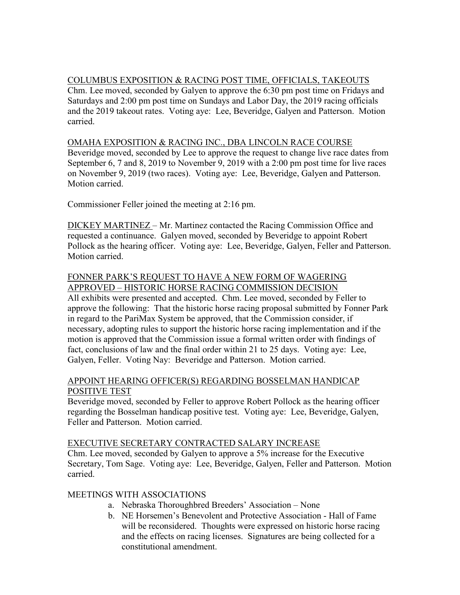# COLUMBUS EXPOSITION & RACING POST TIME, OFFICIALS, TAKEOUTS

Chm. Lee moved, seconded by Galyen to approve the 6:30 pm post time on Fridays and Saturdays and 2:00 pm post time on Sundays and Labor Day, the 2019 racing officials and the 2019 takeout rates. Voting aye: Lee, Beveridge, Galyen and Patterson. Motion carried.

## OMAHA EXPOSITION & RACING INC., DBA LINCOLN RACE COURSE

Beveridge moved, seconded by Lee to approve the request to change live race dates from September 6, 7 and 8, 2019 to November 9, 2019 with a 2:00 pm post time for live races on November 9, 2019 (two races). Voting aye: Lee, Beveridge, Galyen and Patterson. Motion carried.

Commissioner Feller joined the meeting at 2:16 pm.

DICKEY MARTINEZ – Mr. Martinez contacted the Racing Commission Office and requested a continuance. Galyen moved, seconded by Beveridge to appoint Robert Pollock as the hearing officer. Voting aye: Lee, Beveridge, Galyen, Feller and Patterson. Motion carried.

## FONNER PARK'S REQUEST TO HAVE A NEW FORM OF WAGERING APPROVED – HISTORIC HORSE RACING COMMISSION DECISION

All exhibits were presented and accepted. Chm. Lee moved, seconded by Feller to approve the following: That the historic horse racing proposal submitted by Fonner Park in regard to the PariMax System be approved, that the Commission consider, if necessary, adopting rules to support the historic horse racing implementation and if the motion is approved that the Commission issue a formal written order with findings of fact, conclusions of law and the final order within 21 to 25 days. Voting aye: Lee, Galyen, Feller. Voting Nay: Beveridge and Patterson. Motion carried.

### APPOINT HEARING OFFICER(S) REGARDING BOSSELMAN HANDICAP POSITIVE TEST

Beveridge moved, seconded by Feller to approve Robert Pollock as the hearing officer regarding the Bosselman handicap positive test. Voting aye: Lee, Beveridge, Galyen, Feller and Patterson. Motion carried.

### EXECUTIVE SECRETARY CONTRACTED SALARY INCREASE

Chm. Lee moved, seconded by Galyen to approve a 5% increase for the Executive Secretary, Tom Sage. Voting aye: Lee, Beveridge, Galyen, Feller and Patterson. Motion carried.

# MEETINGS WITH ASSOCIATIONS

- a. Nebraska Thoroughbred Breeders' Association None
- b. NE Horsemen's Benevolent and Protective Association Hall of Fame will be reconsidered. Thoughts were expressed on historic horse racing and the effects on racing licenses. Signatures are being collected for a constitutional amendment.